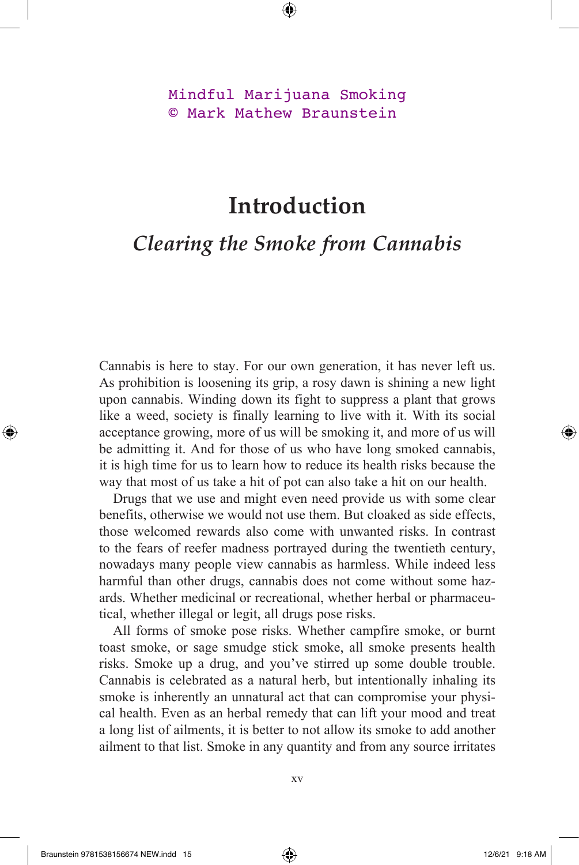## Mindful Marijuana Smoking © Mark Mathew Braunstein

## **Introduction**

## *Clearing the Smoke from Cannabis*

Cannabis is here to stay. For our own generation, it has never left us. As prohibition is loosening its grip, a rosy dawn is shining a new light upon cannabis. Winding down its fight to suppress a plant that grows like a weed, society is finally learning to live with it. With its social acceptance growing, more of us will be smoking it, and more of us will be admitting it. And for those of us who have long smoked cannabis, it is high time for us to learn how to reduce its health risks because the way that most of us take a hit of pot can also take a hit on our health.

Drugs that we use and might even need provide us with some clear benefits, otherwise we would not use them. But cloaked as side effects, those welcomed rewards also come with unwanted risks. In contrast to the fears of reefer madness portrayed during the twentieth century, nowadays many people view cannabis as harmless. While indeed less harmful than other drugs, cannabis does not come without some hazards. Whether medicinal or recreational, whether herbal or pharmaceutical, whether illegal or legit, all drugs pose risks.

All forms of smoke pose risks. Whether campfire smoke, or burnt toast smoke, or sage smudge stick smoke, all smoke presents health risks. Smoke up a drug, and you've stirred up some double trouble. Cannabis is celebrated as a natural herb, but intentionally inhaling its smoke is inherently an unnatural act that can compromise your physical health. Even as an herbal remedy that can lift your mood and treat a long list of ailments, it is better to not allow its smoke to add another ailment to that list. Smoke in any quantity and from any source irritates